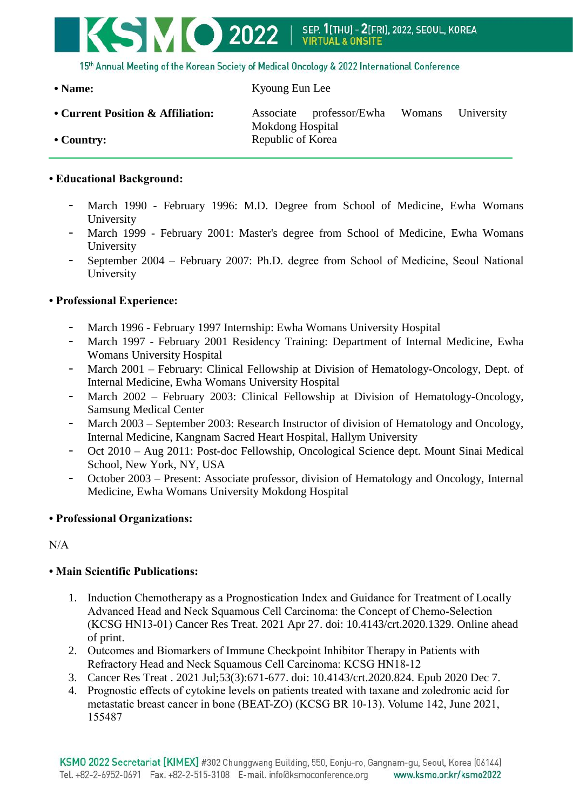

15th Annual Meeting of the Korean Society of Medical Oncology & 2022 International Conference

### **• Name:** Kyoung Eun Lee

**• Current Position & Affiliation:** Associate professor/Ewha Womans University Mokdong Hospital **• Country:** Republic of Korea

## **• Educational Background:**

- March 1990 February 1996: M.D. Degree from School of Medicine, Ewha Womans University
- March 1999 February 2001: Master's degree from School of Medicine, Ewha Womans University
- September 2004 February 2007: Ph.D. degree from School of Medicine, Seoul National University

# **• Professional Experience:**

- March 1996 February 1997 Internship: Ewha Womans University Hospital
- March 1997 February 2001 Residency Training: Department of Internal Medicine, Ewha Womans University Hospital
- March 2001 February: Clinical Fellowship at Division of Hematology-Oncology, Dept. of Internal Medicine, Ewha Womans University Hospital
- March 2002 February 2003: Clinical Fellowship at Division of Hematology-Oncology, Samsung Medical Center
- March 2003 September 2003: Research Instructor of division of Hematology and Oncology, Internal Medicine, Kangnam Sacred Heart Hospital, Hallym University
- Oct 2010 Aug 2011: Post-doc Fellowship, Oncological Science dept. Mount Sinai Medical School, New York, NY, USA
- October 2003 Present: Associate professor, division of Hematology and Oncology, Internal Medicine, Ewha Womans University Mokdong Hospital

### **• Professional Organizations:**

N/A

### **• Main Scientific Publications:**

- 1. Induction Chemotherapy as a Prognostication Index and Guidance for Treatment of Locally Advanced Head and Neck Squamous Cell Carcinoma: the Concept of Chemo-Selection (KCSG HN13-01) Cancer Res Treat. 2021 Apr 27. doi: 10.4143/crt.2020.1329. Online ahead of print.
- 2. Outcomes and Biomarkers of Immune Checkpoint Inhibitor Therapy in Patients with Refractory Head and Neck Squamous Cell Carcinoma: KCSG HN18-12
- 3. Cancer Res Treat . 2021 Jul;53(3):671-677. doi: 10.4143/crt.2020.824. Epub 2020 Dec 7.
- 4. Prognostic effects of cytokine levels on patients treated with taxane and zoledronic acid for metastatic breast cancer in bone (BEAT-ZO) (KCSG BR 10-13). Volume 142, June 2021, 155487